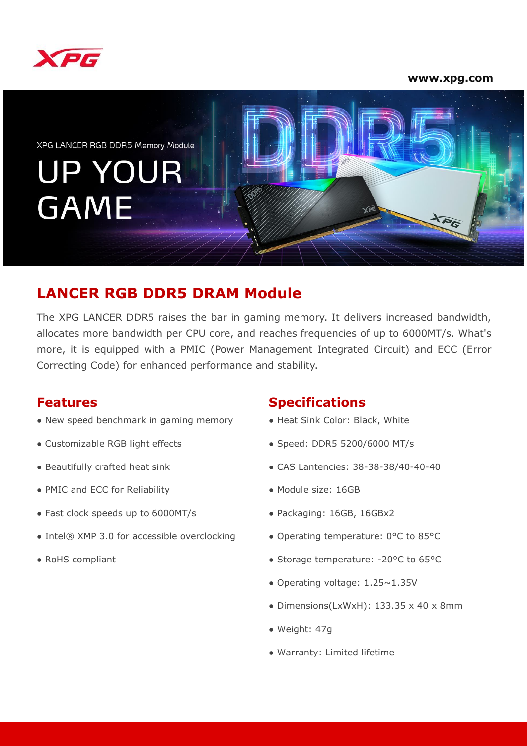

#### **www.xpg.com**



# **LANCER RGB DDR5 DRAM Module**

The XPG LANCER DDR5 raises the bar in gaming memory. It delivers increased bandwidth, allocates more bandwidth per CPU core, and reaches frequencies of up to 6000MT/s. What's more, it is equipped with a PMIC (Power Management Integrated Circuit) and ECC (Error Correcting Code) for enhanced performance and stability.

- New speed benchmark in gaming memory
- Customizable RGB light effects
- Beautifully crafted heat sink
- PMIC and ECC for Reliability
- Fast clock speeds up to 6000MT/s
- Intel® XMP 3.0 for accessible overclocking
- RoHS compliant

#### **Features Specifications**

- Heat Sink Color: Black, White
- Speed: DDR5 5200/6000 MT/s
- CAS Lantencies: 38-38-38/40-40-40
- Module size: 16GB
- Packaging: 16GB, 16GBx2
- Operating temperature: 0°C to 85°C
- Storage temperature: -20°C to 65°C
- Operating voltage: 1.25~1.35V
- Dimensions(LxWxH): 133.35 x 40 x 8mm
- Weight: 47g
- Warranty: Limited lifetime